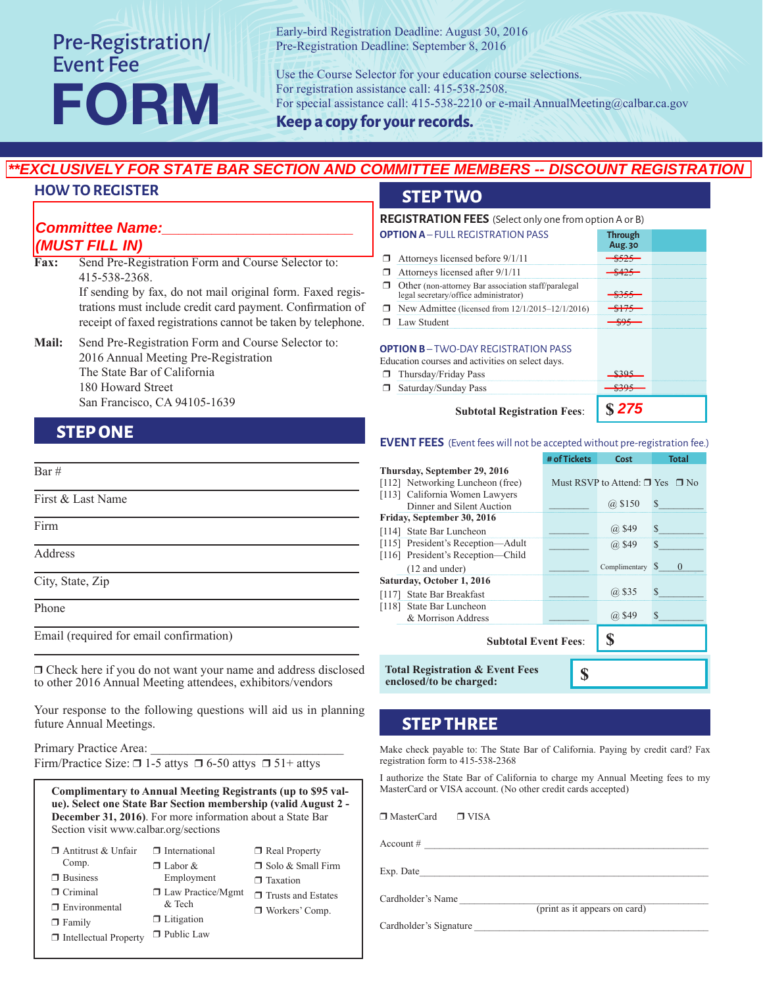## Pre-Registration/ Event Fee FORM

Early-bird Registration Deadline: August 30, 2016 Pre-Registration Deadline: September 8, 2016

Use the Course Selector for your education course selections. For registration assistance call: 415-538-2508. For special assistance call: 415-538-2210 or e-mail AnnualMeeting@calbar.ca.gov

**Keep a copy for your records.**

#### **HOW TO REGISTER**

#### fax, or mail. **Committee Name:\_\_\_\_\_\_\_\_\_\_\_\_\_\_\_\_\_\_\_\_\_\_\_ (MUST FILL IN)**

### **STEP ONE**

Bar #

First & Last Name

Firm

Address

City, State, Zip

Phone

Email (required for email confirmation)

 $\Box$  Check here if you do not want your name and address disclosed to other 2016 Annual Meeting attendees, exhibitors/vendors

Your response to the following questions will aid us in planning future Annual Meetings.

Primary Practice Area: Firm/Practice Size:  $\Box$  1-5 attys  $\Box$  6-50 attys  $\Box$  51+ attys

**Complimentary to Annual Meeting Registrants (up to \$95 value). Select one State Bar Section membership (valid August 2 - December 31, 2016)**. For more information about a State Bar Section visit www.calbar.org/sections

| $\Box$ Antitrust & Unfair    | $\Box$ International     | $\Box$ Real Property      |
|------------------------------|--------------------------|---------------------------|
| Comp.                        | $\Box$ Labor &           | □ Solo & Small Firm       |
| $\Box$ Business              | Employment               | $\Box$ Taxation           |
| $\Box$ Criminal              | $\Box$ Law Practice/Mgmt | $\Box$ Trusts and Estates |
| $\Box$ Environmental         | & Tech                   | $\Box$ Workers' Comp.     |
| $\Box$ Family                | $\Box$ Litigation        |                           |
| $\Box$ Intellectual Property | $\Box$ Public Law        |                           |

#### **STEP TWO**

|                              | <b>HOW TO REGISTER</b>                                                                     |        | <b>STEP TWO</b>                                                                                         |                           |
|------------------------------|--------------------------------------------------------------------------------------------|--------|---------------------------------------------------------------------------------------------------------|---------------------------|
|                              | <b>Committee Name:</b><br>(MUST FILL IN)                                                   |        | <b>REGISTRATION FEES</b> (Select only one from option A or B)<br><b>OPTION A-FULL REGISTRATION PASS</b> | <b>Through</b><br>Aug. 30 |
| <b>Fax:</b>                  | Send Pre-Registration Form and Course Selector to:<br>415-538-2368.                        | ⊓      | Attorneys licensed before 9/1/11                                                                        | $-$ \$525                 |
|                              |                                                                                            |        | Attorneys licensed after 9/1/11                                                                         | $-$ \$425                 |
|                              | If sending by fax, do not mail original form. Faxed regis-                                 |        | Other (non-attorney Bar association staff/paralegal<br>legal secretary/office administrator)            | <del>-\$355 -</del>       |
|                              | trations must include credit card payment. Confirmation of                                 | $\Box$ | New Admittee (licensed from 12/1/2015–12/1/2016)                                                        | $-175$                    |
|                              | receipt of faxed registrations cannot be taken by telephone.                               |        | $\Box$ Law Student                                                                                      | $-$ \$95                  |
| Mail:                        | Send Pre-Registration Form and Course Selector to:<br>2016 Annual Meeting Pre-Registration |        | <b>OPTION B-TWO-DAY REGISTRATION PASS</b><br>Education courses and activities on select days.           |                           |
|                              | The State Bar of California                                                                |        | Thursday/Friday Pass                                                                                    | \$395                     |
|                              | 180 Howard Street                                                                          |        | Saturday/Sunday Pass                                                                                    | \$395                     |
| San Francisco, CA 94105-1639 |                                                                                            |        | <b>Subtotal Registration Fees:</b>                                                                      | \$275                     |

#### **EVENT FEES** (Event fees will not be accepted without pre-registration fee.)

|                                                                       | # of Tickets | Cost                                      | Total        |
|-----------------------------------------------------------------------|--------------|-------------------------------------------|--------------|
| Thursday, September 29, 2016                                          |              |                                           |              |
| [112] Networking Luncheon (free)                                      |              | Must RSVP to Attend: $\Box$ Yes $\Box$ No |              |
| [113] California Women Lawyers                                        |              |                                           |              |
| Dinner and Silent Auction                                             |              | @ \$150                                   |              |
| Friday, September 30, 2016                                            |              |                                           |              |
| [114] State Bar Luncheon                                              |              | @ \$49                                    |              |
| [115] President's Reception-Adult                                     |              | @ \$49                                    | $\mathbf{S}$ |
| [116] President's Reception-Child                                     |              |                                           |              |
| $(12$ and under)                                                      |              | Complimentary                             | S            |
| Saturday, October 1, 2016                                             |              |                                           |              |
| [117] State Bar Breakfast                                             |              | @ \$35                                    |              |
| [118] State Bar Luncheon                                              |              |                                           |              |
| & Morrison Address                                                    |              | @ \$49                                    | $\mathbf{R}$ |
| S<br><b>Subtotal Event Fees:</b>                                      |              |                                           |              |
| <b>Total Registration &amp; Event Fees</b><br>enclosed/to be charged: |              |                                           |              |

#### **STEP THREE**

Make check payable to: The State Bar of California. Paying by credit card? Fax registration form to 415-538-2368

I authorize the State Bar of California to charge my Annual Meeting fees to my MasterCard or VISA account. (No other credit cards accepted)

 $\Box$  MasterCard  $\Box$  VISA Account # \_\_\_\_\_\_\_\_\_\_\_\_\_\_\_\_\_\_\_\_\_\_\_\_\_\_\_\_\_\_\_\_\_\_\_\_\_\_\_\_\_\_\_\_\_\_\_\_\_\_\_\_\_\_\_\_\_ Exp. Date Cardholder's Name (print as it appears on card)

Cardholder's Signature